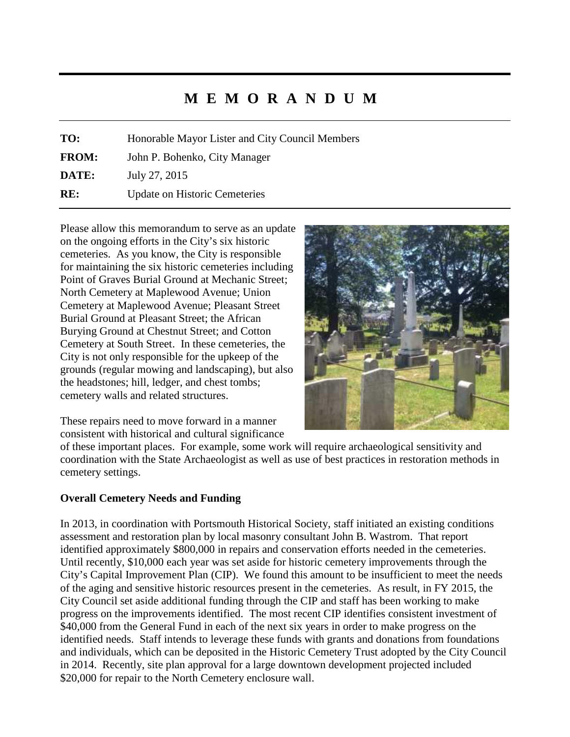# **M E M O R A N D U M**

**TO:** Honorable Mayor Lister and City Council Members **FROM:** John P. Bohenko, City Manager **DATE:** July 27, 2015 **RE:** Update on Historic Cemeteries

Please allow this memorandum to serve as an update on the ongoing efforts in the City's six historic cemeteries. As you know, the City is responsible for maintaining the six historic cemeteries including Point of Graves Burial Ground at Mechanic Street; North Cemetery at Maplewood Avenue; Union Cemetery at Maplewood Avenue; Pleasant Street Burial Ground at Pleasant Street; the African Burying Ground at Chestnut Street; and Cotton Cemetery at South Street. In these cemeteries, the City is not only responsible for the upkeep of the grounds (regular mowing and landscaping), but also the headstones; hill, ledger, and chest tombs; cemetery walls and related structures.



These repairs need to move forward in a manner consistent with historical and cultural significance

of these important places. For example, some work will require archaeological sensitivity and coordination with the State Archaeologist as well as use of best practices in restoration methods in cemetery settings.

# **Overall Cemetery Needs and Funding**

In 2013, in coordination with Portsmouth Historical Society, staff initiated an existing conditions assessment and restoration plan by local masonry consultant John B. Wastrom. That report identified approximately \$800,000 in repairs and conservation efforts needed in the cemeteries. Until recently, \$10,000 each year was set aside for historic cemetery improvements through the City's Capital Improvement Plan (CIP). We found this amount to be insufficient to meet the needs of the aging and sensitive historic resources present in the cemeteries. As result, in FY 2015, the City Council set aside additional funding through the CIP and staff has been working to make progress on the improvements identified. The most recent CIP identifies consistent investment of \$40,000 from the General Fund in each of the next six years in order to make progress on the identified needs. Staff intends to leverage these funds with grants and donations from foundations and individuals, which can be deposited in the Historic Cemetery Trust adopted by the City Council in 2014. Recently, site plan approval for a large downtown development projected included \$20,000 for repair to the North Cemetery enclosure wall.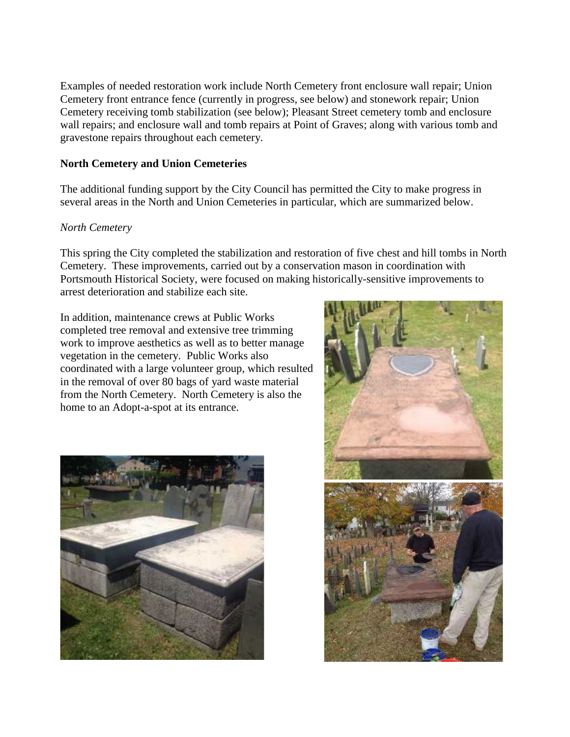Examples of needed restoration work include North Cemetery front enclosure wall repair; Union Cemetery front entrance fence (currently in progress, see below) and stonework repair; Union Cemetery receiving tomb stabilization (see below); Pleasant Street cemetery tomb and enclosure wall repairs; and enclosure wall and tomb repairs at Point of Graves; along with various tomb and gravestone repairs throughout each cemetery.

#### **North Cemetery and Union Cemeteries**

The additional funding support by the City Council has permitted the City to make progress in several areas in the North and Union Cemeteries in particular, which are summarized below.

### *North Cemetery*

This spring the City completed the stabilization and restoration of five chest and hill tombs in North Cemetery. These improvements, carried out by a conservation mason in coordination with Portsmouth Historical Society, were focused on making historically-sensitive improvements to arrest deterioration and stabilize each site.

In addition, maintenance crews at Public Works completed tree removal and extensive tree trimming work to improve aesthetics as well as to better manage vegetation in the cemetery. Public Works also coordinated with a large volunteer group, which resulted in the removal of over 80 bags of yard waste material from the North Cemetery. North Cemetery is also the home to an Adopt-a-spot at its entrance.



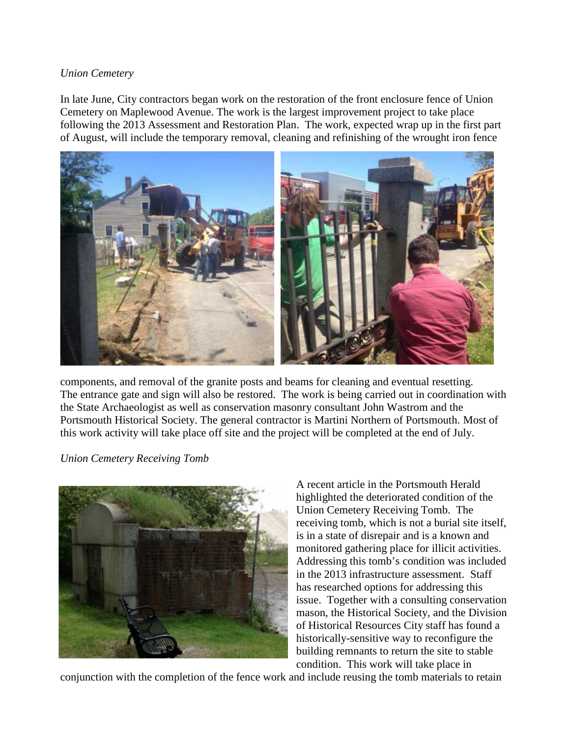#### *Union Cemetery*

In late June, City contractors began work on the restoration of the front enclosure fence of Union Cemetery on Maplewood Avenue. The work is the largest improvement project to take place following the 2013 Assessment and Restoration Plan. The work, expected wrap up in the first part of August, will include the temporary removal, cleaning and refinishing of the wrought iron fence



components, and removal of the granite posts and beams for cleaning and eventual resetting. The entrance gate and sign will also be restored. The work is being carried out in coordination with the State Archaeologist as well as conservation masonry consultant John Wastrom and the Portsmouth Historical Society. The general contractor is Martini Northern of Portsmouth. Most of this work activity will take place off site and the project will be completed at the end of July.

# *Union Cemetery Receiving Tomb*



A recent article in the Portsmouth Herald highlighted the deteriorated condition of the Union Cemetery Receiving Tomb. The receiving tomb, which is not a burial site itself, is in a state of disrepair and is a known and monitored gathering place for illicit activities. Addressing this tomb's condition was included in the 2013 infrastructure assessment. Staff has researched options for addressing this issue. Together with a consulting conservation mason, the Historical Society, and the Division of Historical Resources City staff has found a historically-sensitive way to reconfigure the building remnants to return the site to stable condition. This work will take place in

conjunction with the completion of the fence work and include reusing the tomb materials to retain